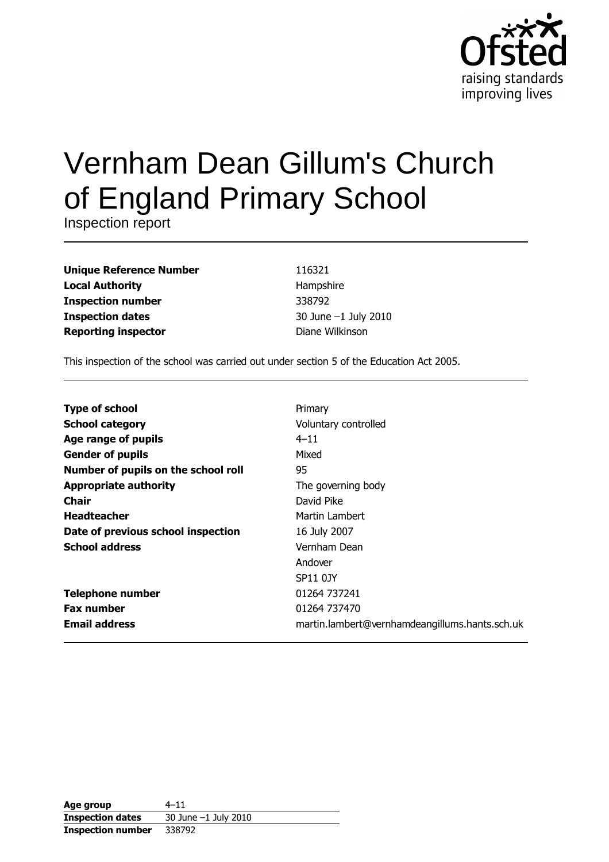

# Vernham Dean Gillum's Church of England Primary School

Inspection report

| <b>Unique Reference Number</b> |
|--------------------------------|
| <b>Local Authority</b>         |
| <b>Inspection number</b>       |
| <b>Inspection dates</b>        |
| <b>Reporting inspector</b>     |

116321 Hampshire 338792 30 June -1 July 2010 Diane Wilkinson

This inspection of the school was carried out under section 5 of the Education Act 2005.

| <b>Type of school</b>               | Primary                                        |
|-------------------------------------|------------------------------------------------|
| <b>School category</b>              | Voluntary controlled                           |
| Age range of pupils                 | $4 - 11$                                       |
| <b>Gender of pupils</b>             | Mixed                                          |
| Number of pupils on the school roll | 95                                             |
| <b>Appropriate authority</b>        | The governing body                             |
| Chair                               | David Pike                                     |
| <b>Headteacher</b>                  | Martin Lambert                                 |
| Date of previous school inspection  | 16 July 2007                                   |
| <b>School address</b>               | Vernham Dean                                   |
|                                     | Andover                                        |
|                                     | SP11 0JY                                       |
| <b>Telephone number</b>             | 01264 737241                                   |
| <b>Fax number</b>                   | 01264 737470                                   |
| <b>Email address</b>                | martin.lambert@vernhamdeangillums.hants.sch.uk |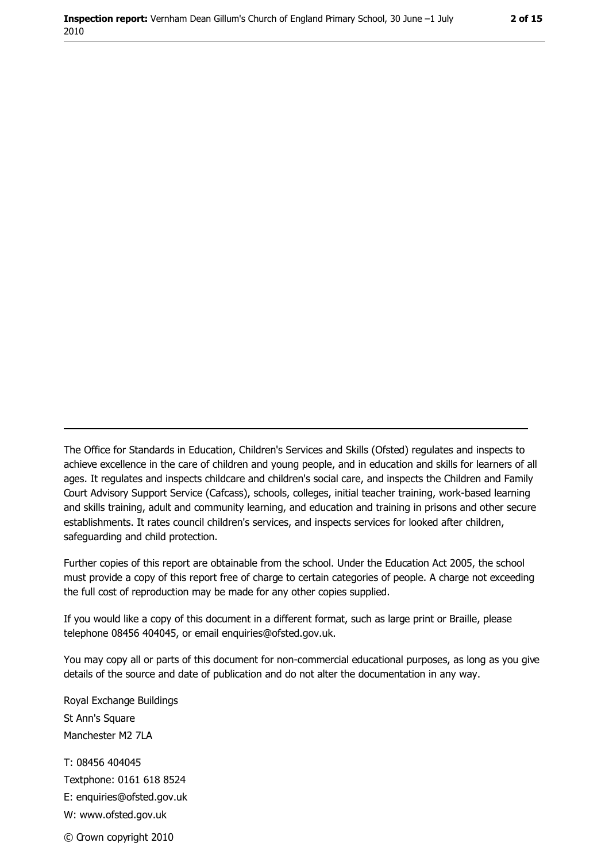The Office for Standards in Education, Children's Services and Skills (Ofsted) regulates and inspects to achieve excellence in the care of children and young people, and in education and skills for learners of all ages. It regulates and inspects childcare and children's social care, and inspects the Children and Family Court Advisory Support Service (Cafcass), schools, colleges, initial teacher training, work-based learning and skills training, adult and community learning, and education and training in prisons and other secure establishments. It rates council children's services, and inspects services for looked after children, safequarding and child protection.

Further copies of this report are obtainable from the school. Under the Education Act 2005, the school must provide a copy of this report free of charge to certain categories of people. A charge not exceeding the full cost of reproduction may be made for any other copies supplied.

If you would like a copy of this document in a different format, such as large print or Braille, please telephone 08456 404045, or email enquiries@ofsted.gov.uk.

You may copy all or parts of this document for non-commercial educational purposes, as long as you give details of the source and date of publication and do not alter the documentation in any way.

Royal Exchange Buildings St Ann's Square Manchester M2 7LA T: 08456 404045 Textphone: 0161 618 8524 E: enquiries@ofsted.gov.uk W: www.ofsted.gov.uk © Crown copyright 2010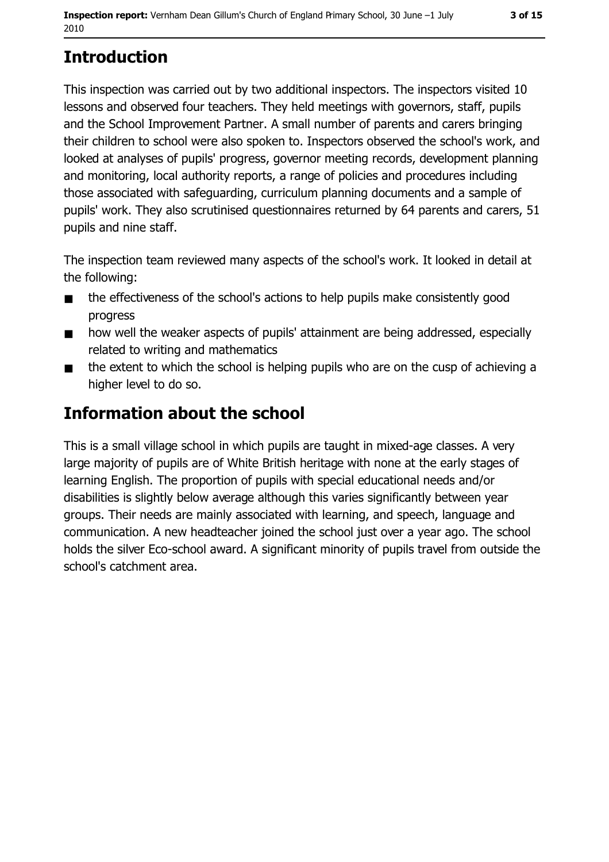# **Introduction**

This inspection was carried out by two additional inspectors. The inspectors visited 10 lessons and observed four teachers. They held meetings with governors, staff, pupils and the School Improvement Partner. A small number of parents and carers bringing their children to school were also spoken to. Inspectors observed the school's work, and looked at analyses of pupils' progress, governor meeting records, development planning and monitoring, local authority reports, a range of policies and procedures including those associated with safeguarding, curriculum planning documents and a sample of pupils' work. They also scrutinised questionnaires returned by 64 parents and carers, 51 pupils and nine staff.

The inspection team reviewed many aspects of the school's work. It looked in detail at the following:

- the effectiveness of the school's actions to help pupils make consistently good  $\blacksquare$ progress
- how well the weaker aspects of pupils' attainment are being addressed, especially  $\blacksquare$ related to writing and mathematics
- the extent to which the school is helping pupils who are on the cusp of achieving a  $\blacksquare$ higher level to do so.

# **Information about the school**

This is a small village school in which pupils are taught in mixed-age classes. A very large majority of pupils are of White British heritage with none at the early stages of learning English. The proportion of pupils with special educational needs and/or disabilities is slightly below average although this varies significantly between year groups. Their needs are mainly associated with learning, and speech, language and communication. A new headteacher joined the school just over a year ago. The school holds the silver Eco-school award. A significant minority of pupils travel from outside the school's catchment area.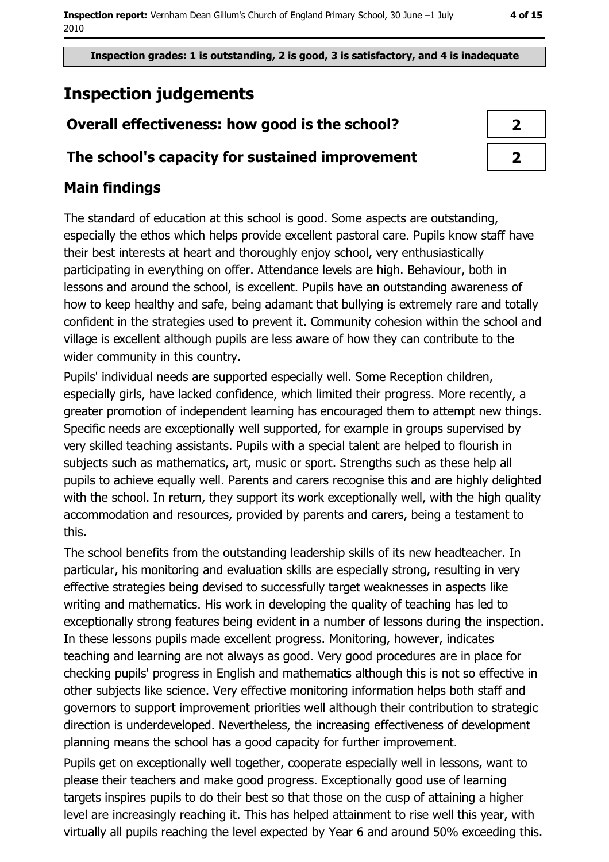Inspection grades: 1 is outstanding, 2 is good, 3 is satisfactory, and 4 is inadequate

# **Inspection judgements**

## Overall effectiveness: how good is the school?

## The school's capacity for sustained improvement

## **Main findings**

The standard of education at this school is good. Some aspects are outstanding, especially the ethos which helps provide excellent pastoral care. Pupils know staff have their best interests at heart and thoroughly enjoy school, very enthusiastically participating in everything on offer. Attendance levels are high. Behaviour, both in lessons and around the school, is excellent. Pupils have an outstanding awareness of how to keep healthy and safe, being adamant that bullying is extremely rare and totally confident in the strategies used to prevent it. Community cohesion within the school and village is excellent although pupils are less aware of how they can contribute to the wider community in this country.

Pupils' individual needs are supported especially well. Some Reception children, especially girls, have lacked confidence, which limited their progress. More recently, a greater promotion of independent learning has encouraged them to attempt new things. Specific needs are exceptionally well supported, for example in groups supervised by very skilled teaching assistants. Pupils with a special talent are helped to flourish in subjects such as mathematics, art, music or sport. Strengths such as these help all pupils to achieve equally well. Parents and carers recognise this and are highly delighted with the school. In return, they support its work exceptionally well, with the high quality accommodation and resources, provided by parents and carers, being a testament to this.

The school benefits from the outstanding leadership skills of its new headteacher. In particular, his monitoring and evaluation skills are especially strong, resulting in very effective strategies being devised to successfully target weaknesses in aspects like writing and mathematics. His work in developing the quality of teaching has led to exceptionally strong features being evident in a number of lessons during the inspection. In these lessons pupils made excellent progress. Monitoring, however, indicates teaching and learning are not always as good. Very good procedures are in place for checking pupils' progress in English and mathematics although this is not so effective in other subjects like science. Very effective monitoring information helps both staff and governors to support improvement priorities well although their contribution to strategic direction is underdeveloped. Nevertheless, the increasing effectiveness of development planning means the school has a good capacity for further improvement.

Pupils get on exceptionally well together, cooperate especially well in lessons, want to please their teachers and make good progress. Exceptionally good use of learning targets inspires pupils to do their best so that those on the cusp of attaining a higher level are increasingly reaching it. This has helped attainment to rise well this year, with virtually all pupils reaching the level expected by Year 6 and around 50% exceeding this.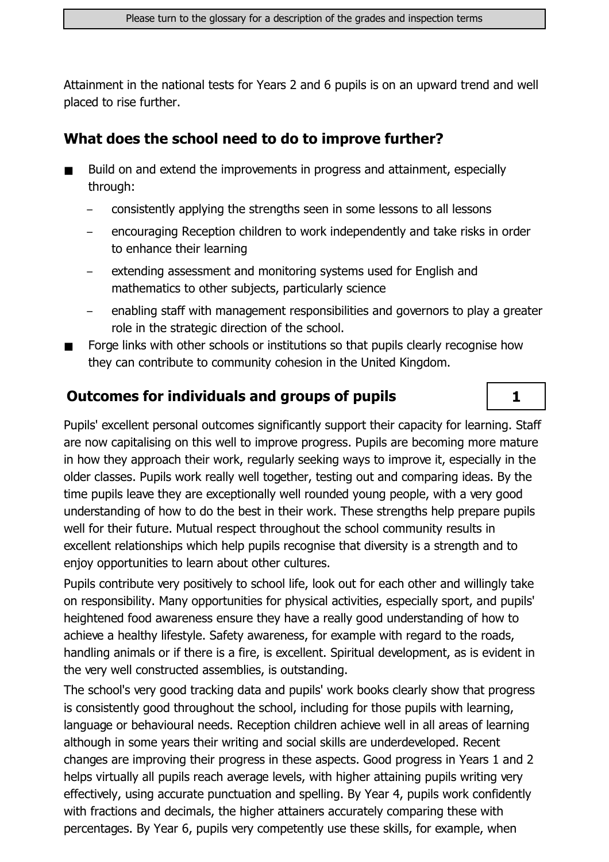Attainment in the national tests for Years 2 and 6 pupils is on an upward trend and well placed to rise further.

#### What does the school need to do to improve further?

- Build on and extend the improvements in progress and attainment, especially  $\blacksquare$ through:
	- consistently applying the strengths seen in some lessons to all lessons
	- encouraging Reception children to work independently and take risks in order to enhance their learning
	- extending assessment and monitoring systems used for English and mathematics to other subjects, particularly science
	- enabling staff with management responsibilities and governors to play a greater role in the strategic direction of the school.

 $\mathbf{1}$ 

Forge links with other schools or institutions so that pupils clearly recognise how they can contribute to community cohesion in the United Kingdom.

### **Outcomes for individuals and groups of pupils**

Pupils' excellent personal outcomes significantly support their capacity for learning. Staff are now capitalising on this well to improve progress. Pupils are becoming more mature in how they approach their work, regularly seeking ways to improve it, especially in the older classes. Pupils work really well together, testing out and comparing ideas. By the time pupils leave they are exceptionally well rounded young people, with a very good understanding of how to do the best in their work. These strengths help prepare pupils well for their future. Mutual respect throughout the school community results in excellent relationships which help pupils recognise that diversity is a strength and to enjoy opportunities to learn about other cultures.

Pupils contribute very positively to school life, look out for each other and willingly take on responsibility. Many opportunities for physical activities, especially sport, and pupils' heightened food awareness ensure they have a really good understanding of how to achieve a healthy lifestyle. Safety awareness, for example with regard to the roads, handling animals or if there is a fire, is excellent. Spiritual development, as is evident in the very well constructed assemblies, is outstanding.

The school's very good tracking data and pupils' work books clearly show that progress is consistently good throughout the school, including for those pupils with learning, language or behavioural needs. Reception children achieve well in all areas of learning although in some years their writing and social skills are underdeveloped. Recent changes are improving their progress in these aspects. Good progress in Years 1 and 2 helps virtually all pupils reach average levels, with higher attaining pupils writing very effectively, using accurate punctuation and spelling. By Year 4, pupils work confidently with fractions and decimals, the higher attainers accurately comparing these with percentages. By Year 6, pupils very competently use these skills, for example, when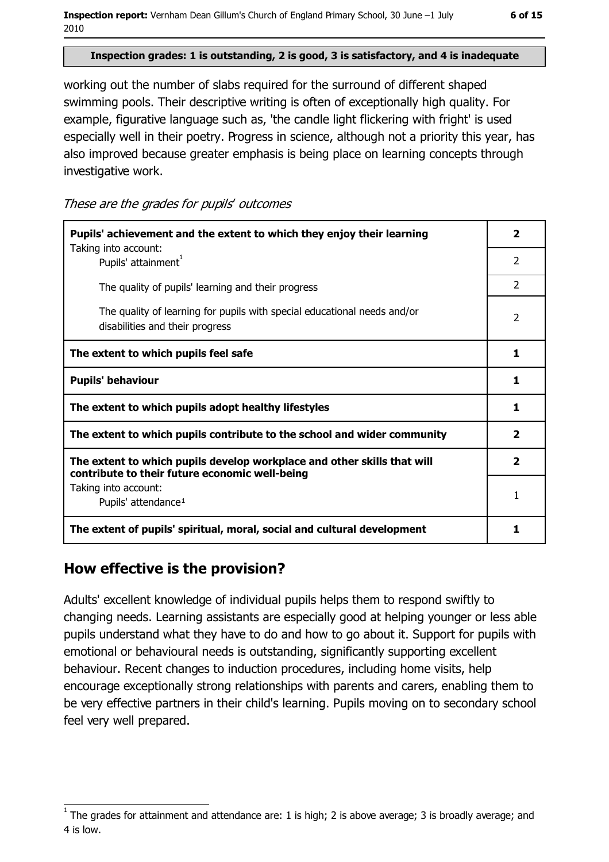#### Inspection grades: 1 is outstanding, 2 is good, 3 is satisfactory, and 4 is inadequate

working out the number of slabs required for the surround of different shaped swimming pools. Their descriptive writing is often of exceptionally high quality. For example, figurative language such as, 'the candle light flickering with fright' is used especially well in their poetry. Progress in science, although not a priority this year, has also improved because greater emphasis is being place on learning concepts through investigative work.

These are the grades for pupils' outcomes

| Pupils' achievement and the extent to which they enjoy their learning                                                     |                         |
|---------------------------------------------------------------------------------------------------------------------------|-------------------------|
| Taking into account:<br>Pupils' attainment <sup>1</sup>                                                                   | 2                       |
| The quality of pupils' learning and their progress                                                                        | $\overline{2}$          |
| The quality of learning for pupils with special educational needs and/or<br>disabilities and their progress               | $\mathcal{P}$           |
| The extent to which pupils feel safe                                                                                      | 1                       |
| <b>Pupils' behaviour</b>                                                                                                  | 1                       |
| The extent to which pupils adopt healthy lifestyles                                                                       | 1                       |
| The extent to which pupils contribute to the school and wider community                                                   | $\overline{\mathbf{2}}$ |
| The extent to which pupils develop workplace and other skills that will<br>contribute to their future economic well-being | $\overline{\mathbf{2}}$ |
| Taking into account:<br>Pupils' attendance <sup>1</sup>                                                                   | 1                       |
| The extent of pupils' spiritual, moral, social and cultural development                                                   | 1                       |

#### How effective is the provision?

Adults' excellent knowledge of individual pupils helps them to respond swiftly to changing needs. Learning assistants are especially good at helping younger or less able pupils understand what they have to do and how to go about it. Support for pupils with emotional or behavioural needs is outstanding, significantly supporting excellent behaviour. Recent changes to induction procedures, including home visits, help encourage exceptionally strong relationships with parents and carers, enabling them to be very effective partners in their child's learning. Pupils moving on to secondary school feel very well prepared.

The grades for attainment and attendance are: 1 is high; 2 is above average; 3 is broadly average; and 4 is low.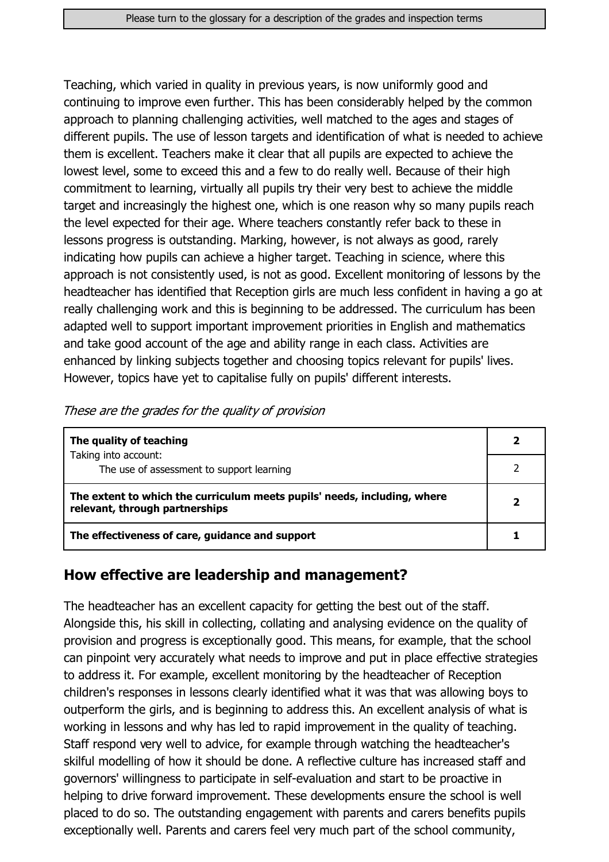Teaching, which varied in quality in previous years, is now uniformly good and continuing to improve even further. This has been considerably helped by the common approach to planning challenging activities, well matched to the ages and stages of different pupils. The use of lesson targets and identification of what is needed to achieve them is excellent. Teachers make it clear that all pupils are expected to achieve the lowest level, some to exceed this and a few to do really well. Because of their high commitment to learning, virtually all pupils try their very best to achieve the middle target and increasingly the highest one, which is one reason why so many pupils reach the level expected for their age. Where teachers constantly refer back to these in lessons progress is outstanding. Marking, however, is not always as good, rarely indicating how pupils can achieve a higher target. Teaching in science, where this approach is not consistently used, is not as good. Excellent monitoring of lessons by the headteacher has identified that Reception girls are much less confident in having a go at really challenging work and this is beginning to be addressed. The curriculum has been adapted well to support important improvement priorities in English and mathematics and take good account of the age and ability range in each class. Activities are enhanced by linking subjects together and choosing topics relevant for pupils' lives. However, topics have yet to capitalise fully on pupils' different interests.

| The quality of teaching                                                                                    |  |
|------------------------------------------------------------------------------------------------------------|--|
| Taking into account:<br>The use of assessment to support learning                                          |  |
| The extent to which the curriculum meets pupils' needs, including, where<br>relevant, through partnerships |  |
| The effectiveness of care, guidance and support                                                            |  |

#### These are the grades for the quality of provision

#### How effective are leadership and management?

The headteacher has an excellent capacity for getting the best out of the staff. Alongside this, his skill in collecting, collating and analysing evidence on the quality of provision and progress is exceptionally good. This means, for example, that the school can pinpoint very accurately what needs to improve and put in place effective strategies to address it. For example, excellent monitoring by the headteacher of Reception children's responses in lessons clearly identified what it was that was allowing boys to outperform the girls, and is beginning to address this. An excellent analysis of what is working in lessons and why has led to rapid improvement in the quality of teaching. Staff respond very well to advice, for example through watching the headteacher's skilful modelling of how it should be done. A reflective culture has increased staff and governors' willingness to participate in self-evaluation and start to be proactive in helping to drive forward improvement. These developments ensure the school is well placed to do so. The outstanding engagement with parents and carers benefits pupils exceptionally well. Parents and carers feel very much part of the school community,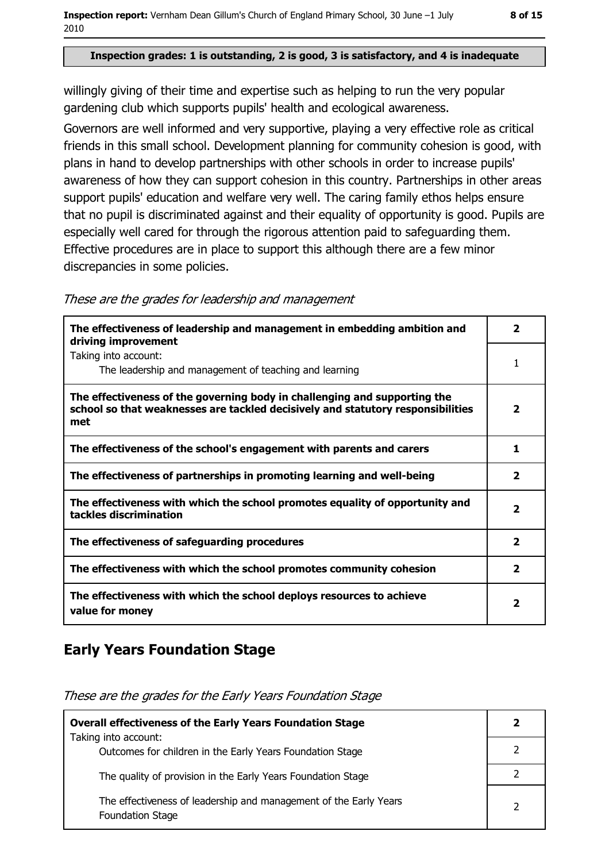#### Inspection grades: 1 is outstanding, 2 is good, 3 is satisfactory, and 4 is inadequate

willingly giving of their time and expertise such as helping to run the very popular gardening club which supports pupils' health and ecological awareness.

Governors are well informed and very supportive, playing a very effective role as critical friends in this small school. Development planning for community cohesion is good, with plans in hand to develop partnerships with other schools in order to increase pupils' awareness of how they can support cohesion in this country. Partnerships in other areas support pupils' education and welfare very well. The caring family ethos helps ensure that no pupil is discriminated against and their equality of opportunity is good. Pupils are especially well cared for through the rigorous attention paid to safeguarding them. Effective procedures are in place to support this although there are a few minor discrepancies in some policies.

| The effectiveness of leadership and management in embedding ambition and<br>driving improvement                                                                     | 2                       |
|---------------------------------------------------------------------------------------------------------------------------------------------------------------------|-------------------------|
| Taking into account:<br>The leadership and management of teaching and learning                                                                                      |                         |
| The effectiveness of the governing body in challenging and supporting the<br>school so that weaknesses are tackled decisively and statutory responsibilities<br>met | $\overline{2}$          |
| The effectiveness of the school's engagement with parents and carers                                                                                                | 1                       |
| The effectiveness of partnerships in promoting learning and well-being                                                                                              | 2                       |
| The effectiveness with which the school promotes equality of opportunity and<br>tackles discrimination                                                              | 2                       |
| The effectiveness of safeguarding procedures                                                                                                                        | $\overline{\mathbf{2}}$ |
| The effectiveness with which the school promotes community cohesion                                                                                                 | 2                       |
| The effectiveness with which the school deploys resources to achieve<br>value for money                                                                             | $\overline{\mathbf{2}}$ |

#### These are the grades for leadership and management

### **Early Years Foundation Stage**

These are the grades for the Early Years Foundation Stage

| <b>Overall effectiveness of the Early Years Foundation Stage</b>                             |  |
|----------------------------------------------------------------------------------------------|--|
| Taking into account:<br>Outcomes for children in the Early Years Foundation Stage            |  |
|                                                                                              |  |
| The quality of provision in the Early Years Foundation Stage                                 |  |
| The effectiveness of leadership and management of the Early Years<br><b>Foundation Stage</b> |  |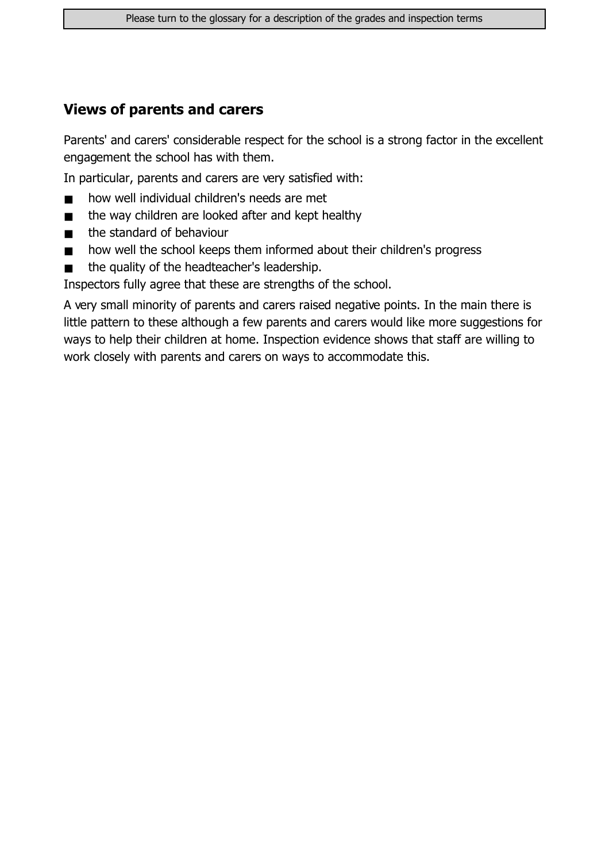#### **Views of parents and carers**

Parents' and carers' considerable respect for the school is a strong factor in the excellent engagement the school has with them.

In particular, parents and carers are very satisfied with:

- how well individual children's needs are met  $\blacksquare$
- the way children are looked after and kept healthy  $\blacksquare$
- the standard of behaviour  $\blacksquare$
- how well the school keeps them informed about their children's progress  $\blacksquare$
- the quality of the headteacher's leadership.  $\blacksquare$

Inspectors fully agree that these are strengths of the school.

A very small minority of parents and carers raised negative points. In the main there is little pattern to these although a few parents and carers would like more suggestions for ways to help their children at home. Inspection evidence shows that staff are willing to work closely with parents and carers on ways to accommodate this.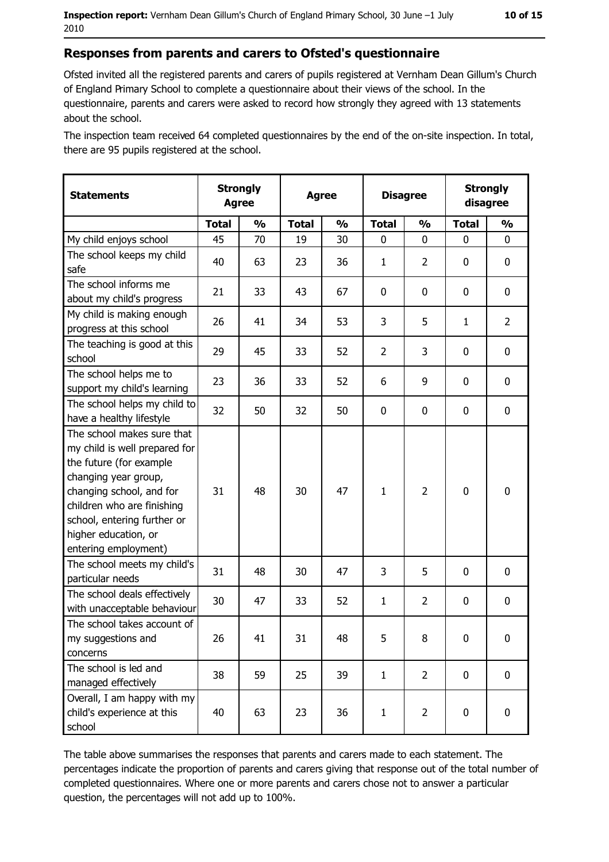Ofsted invited all the registered parents and carers of pupils registered at Vernham Dean Gillum's Church of England Primary School to complete a questionnaire about their views of the school. In the questionnaire, parents and carers were asked to record how strongly they agreed with 13 statements about the school.

The inspection team received 64 completed questionnaires by the end of the on-site inspection. In total, there are 95 pupils registered at the school.

| <b>Statements</b>                                                                                                                                                                                                                                       | <b>Strongly</b><br><b>Agree</b> |               | <b>Agree</b> |               | <b>Disagree</b> |                | <b>Strongly</b><br>disagree |                |
|---------------------------------------------------------------------------------------------------------------------------------------------------------------------------------------------------------------------------------------------------------|---------------------------------|---------------|--------------|---------------|-----------------|----------------|-----------------------------|----------------|
|                                                                                                                                                                                                                                                         | <b>Total</b>                    | $\frac{0}{0}$ | <b>Total</b> | $\frac{0}{0}$ | <b>Total</b>    | $\frac{0}{0}$  | <b>Total</b>                | $\frac{1}{2}$  |
| My child enjoys school                                                                                                                                                                                                                                  | 45                              | 70            | 19           | 30            | $\mathbf 0$     | 0              | $\mathbf{0}$                | 0              |
| The school keeps my child<br>safe                                                                                                                                                                                                                       | 40                              | 63            | 23           | 36            | $\mathbf{1}$    | $\overline{2}$ | 0                           | $\mathbf 0$    |
| The school informs me<br>about my child's progress                                                                                                                                                                                                      | 21                              | 33            | 43           | 67            | $\mathbf 0$     | 0              | 0                           | 0              |
| My child is making enough<br>progress at this school                                                                                                                                                                                                    | 26                              | 41            | 34           | 53            | 3               | 5              | 1                           | $\overline{2}$ |
| The teaching is good at this<br>school                                                                                                                                                                                                                  | 29                              | 45            | 33           | 52            | $\overline{2}$  | 3              | 0                           | 0              |
| The school helps me to<br>support my child's learning                                                                                                                                                                                                   | 23                              | 36            | 33           | 52            | 6               | 9              | 0                           | 0              |
| The school helps my child to<br>have a healthy lifestyle                                                                                                                                                                                                | 32                              | 50            | 32           | 50            | $\mathbf 0$     | $\mathbf 0$    | 0                           | $\mathbf 0$    |
| The school makes sure that<br>my child is well prepared for<br>the future (for example<br>changing year group,<br>changing school, and for<br>children who are finishing<br>school, entering further or<br>higher education, or<br>entering employment) | 31                              | 48            | 30           | 47            | $\mathbf{1}$    | $\overline{2}$ | $\mathbf 0$                 | $\mathbf 0$    |
| The school meets my child's<br>particular needs                                                                                                                                                                                                         | 31                              | 48            | 30           | 47            | 3               | 5              | $\Omega$                    | $\mathbf 0$    |
| The school deals effectively<br>with unacceptable behaviour                                                                                                                                                                                             | 30                              | 47            | 33           | 52            | $\mathbf{1}$    | $\overline{2}$ | $\mathbf 0$                 | $\mathbf 0$    |
| The school takes account of<br>my suggestions and<br>concerns                                                                                                                                                                                           | 26                              | 41            | 31           | 48            | 5               | 8              | 0                           | 0              |
| The school is led and<br>managed effectively                                                                                                                                                                                                            | 38                              | 59            | 25           | 39            | $\mathbf{1}$    | $\overline{2}$ | $\mathbf 0$                 | 0              |
| Overall, I am happy with my<br>child's experience at this<br>school                                                                                                                                                                                     | 40                              | 63            | 23           | 36            | $\mathbf{1}$    | $\overline{2}$ | $\mathbf 0$                 | 0              |

The table above summarises the responses that parents and carers made to each statement. The percentages indicate the proportion of parents and carers giving that response out of the total number of completed questionnaires. Where one or more parents and carers chose not to answer a particular question, the percentages will not add up to 100%.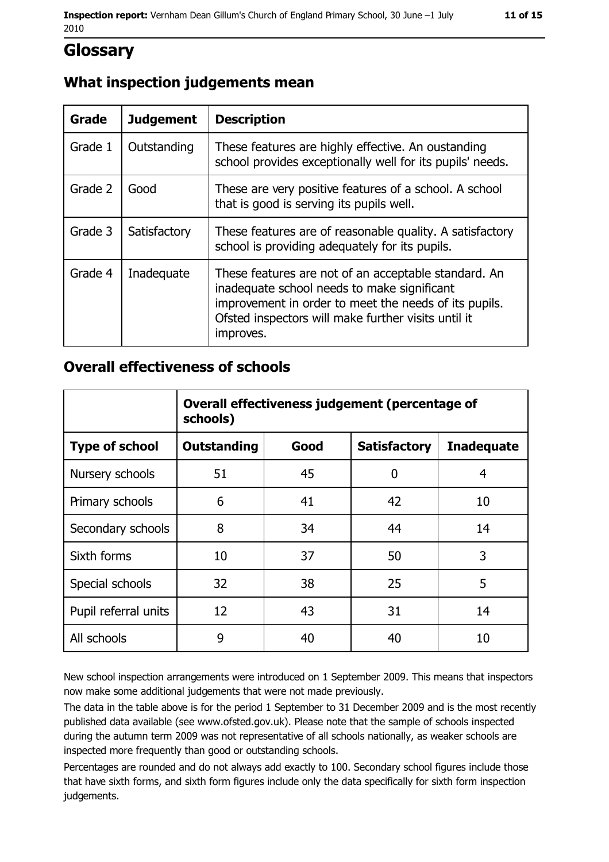## **Glossary**

#### What inspection judgements mean

| <b>Grade</b> | <b>Judgement</b> | <b>Description</b>                                                                                                                                                                                                               |  |
|--------------|------------------|----------------------------------------------------------------------------------------------------------------------------------------------------------------------------------------------------------------------------------|--|
| Grade 1      | Outstanding      | These features are highly effective. An oustanding<br>school provides exceptionally well for its pupils' needs.                                                                                                                  |  |
| Grade 2      | Good             | These are very positive features of a school. A school<br>that is good is serving its pupils well.                                                                                                                               |  |
| Grade 3      | Satisfactory     | These features are of reasonable quality. A satisfactory<br>school is providing adequately for its pupils.                                                                                                                       |  |
| Grade 4      | Inadequate       | These features are not of an acceptable standard. An<br>inadequate school needs to make significant<br>improvement in order to meet the needs of its pupils.<br>Ofsted inspectors will make further visits until it<br>improves. |  |

#### **Overall effectiveness of schools**

|                       | Overall effectiveness judgement (percentage of<br>schools) |      |                     |                   |
|-----------------------|------------------------------------------------------------|------|---------------------|-------------------|
| <b>Type of school</b> | <b>Outstanding</b>                                         | Good | <b>Satisfactory</b> | <b>Inadequate</b> |
| Nursery schools       | 51                                                         | 45   | 0                   | 4                 |
| Primary schools       | 6                                                          | 41   | 42                  | 10                |
| Secondary schools     | 8                                                          | 34   | 44                  | 14                |
| Sixth forms           | 10                                                         | 37   | 50                  | 3                 |
| Special schools       | 32                                                         | 38   | 25                  | 5                 |
| Pupil referral units  | 12                                                         | 43   | 31                  | 14                |
| All schools           | 9                                                          | 40   | 40                  | 10                |

New school inspection arrangements were introduced on 1 September 2009. This means that inspectors now make some additional judgements that were not made previously.

The data in the table above is for the period 1 September to 31 December 2009 and is the most recently published data available (see www.ofsted.gov.uk). Please note that the sample of schools inspected during the autumn term 2009 was not representative of all schools nationally, as weaker schools are inspected more frequently than good or outstanding schools.

Percentages are rounded and do not always add exactly to 100. Secondary school figures include those that have sixth forms, and sixth form figures include only the data specifically for sixth form inspection judgements.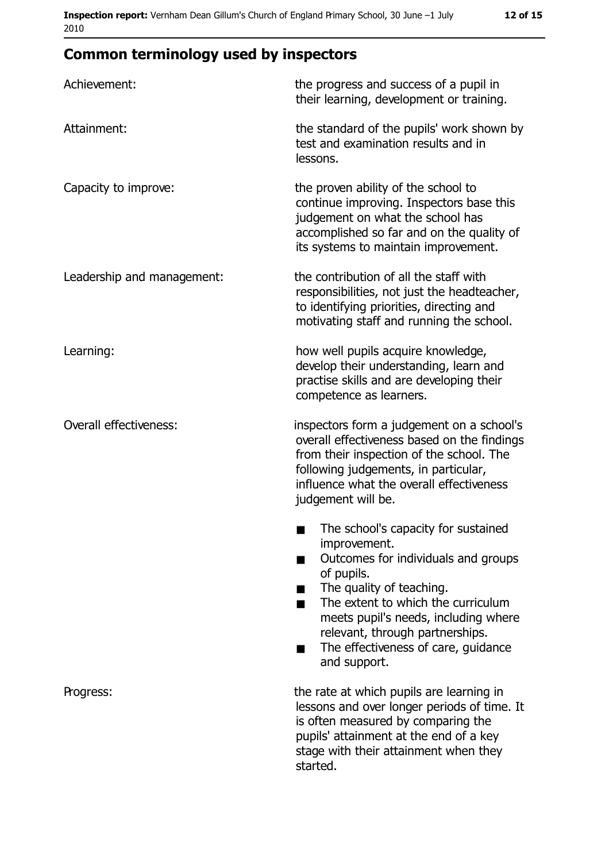# **Common terminology used by inspectors**

| Achievement:               | the progress and success of a pupil in<br>their learning, development or training.                                                                                                                                                                                                                                |
|----------------------------|-------------------------------------------------------------------------------------------------------------------------------------------------------------------------------------------------------------------------------------------------------------------------------------------------------------------|
| Attainment:                | the standard of the pupils' work shown by<br>test and examination results and in<br>lessons.                                                                                                                                                                                                                      |
| Capacity to improve:       | the proven ability of the school to<br>continue improving. Inspectors base this<br>judgement on what the school has<br>accomplished so far and on the quality of<br>its systems to maintain improvement.                                                                                                          |
| Leadership and management: | the contribution of all the staff with<br>responsibilities, not just the headteacher,<br>to identifying priorities, directing and<br>motivating staff and running the school.                                                                                                                                     |
| Learning:                  | how well pupils acquire knowledge,<br>develop their understanding, learn and<br>practise skills and are developing their<br>competence as learners.                                                                                                                                                               |
| Overall effectiveness:     | inspectors form a judgement on a school's<br>overall effectiveness based on the findings<br>from their inspection of the school. The<br>following judgements, in particular,<br>influence what the overall effectiveness<br>judgement will be.                                                                    |
|                            | The school's capacity for sustained<br>improvement.<br>Outcomes for individuals and groups<br>of pupils.<br>The quality of teaching.<br>The extent to which the curriculum<br>٠<br>meets pupil's needs, including where<br>relevant, through partnerships.<br>The effectiveness of care, guidance<br>and support. |
| Progress:                  | the rate at which pupils are learning in<br>lessons and over longer periods of time. It<br>is often measured by comparing the<br>pupils' attainment at the end of a key<br>stage with their attainment when they<br>started.                                                                                      |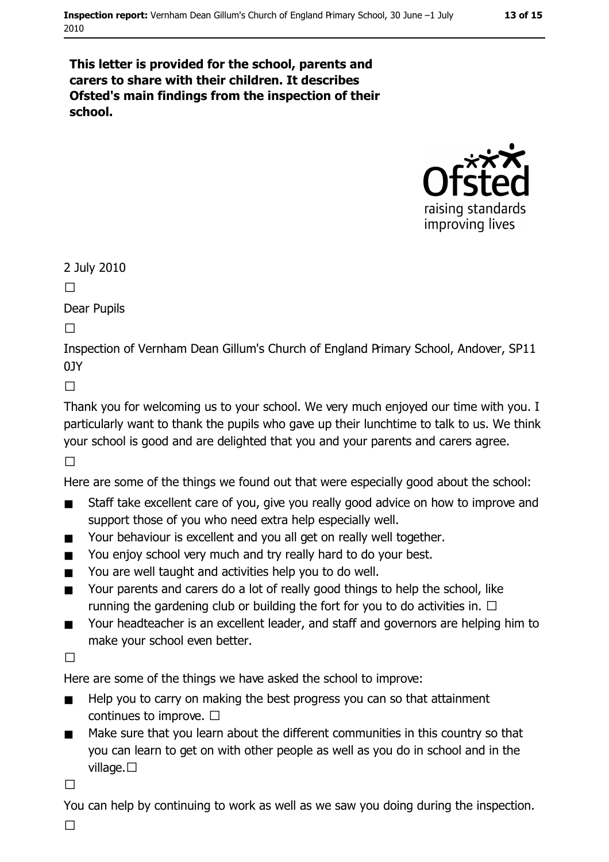#### This letter is provided for the school, parents and carers to share with their children. It describes Ofsted's main findings from the inspection of their school.



2 July 2010

 $\Box$ 

**Dear Pupils** 

 $\Box$ 

Inspection of Vernham Dean Gillum's Church of England Primary School, Andover, SP11  $01Y$ 

 $\Box$ 

Thank you for welcoming us to your school. We very much enjoyed our time with you. I particularly want to thank the pupils who gave up their lunchtime to talk to us. We think your school is good and are delighted that you and your parents and carers agree.

 $\Box$ 

Here are some of the things we found out that were especially good about the school:

- Staff take excellent care of you, give you really good advice on how to improve and  $\blacksquare$ support those of you who need extra help especially well.
- Your behaviour is excellent and you all get on really well together.  $\blacksquare$
- You enjoy school very much and try really hard to do your best.  $\blacksquare$
- You are well taught and activities help you to do well.  $\blacksquare$
- Your parents and carers do a lot of really good things to help the school, like  $\blacksquare$ running the gardening club or building the fort for you to do activities in.  $\Box$
- Your headteacher is an excellent leader, and staff and governors are helping him to  $\blacksquare$ make your school even better.

 $\Box$ 

Here are some of the things we have asked the school to improve:

- $\blacksquare$ Help you to carry on making the best progress you can so that attainment continues to improve.  $\square$
- $\blacksquare$ Make sure that you learn about the different communities in this country so that you can learn to get on with other people as well as you do in school and in the village.  $\square$

 $\Box$ 

You can help by continuing to work as well as we saw you doing during the inspection.

 $\Box$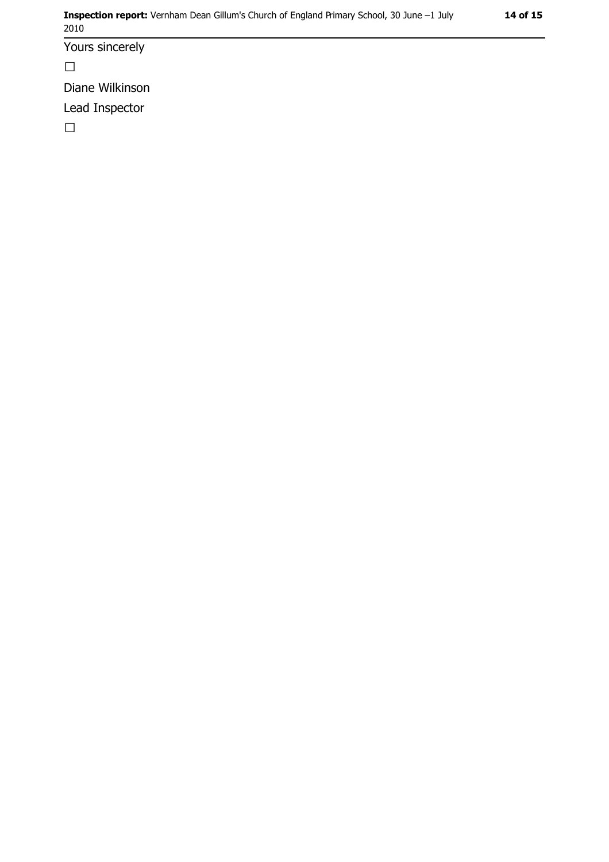Yours sincerely

 $\Box$ 

Diane Wilkinson

Lead Inspector

 $\Box$